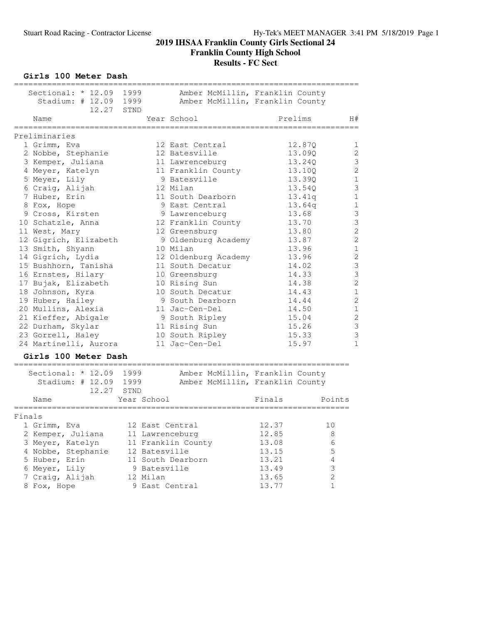**Girls 100 Meter Dash**

| Sectional: * 12.09<br>Stadium: $\#$ 12.09<br>12.27 | 1999<br>1999<br>STND | Amber McMillin, Franklin County<br>Amber McMillin, Franklin County |         |                |
|----------------------------------------------------|----------------------|--------------------------------------------------------------------|---------|----------------|
| Name                                               |                      | Year School                                                        | Prelims | H#             |
| Preliminaries                                      |                      |                                                                    |         |                |
| 1 Grimm, Eva                                       |                      | 12 East Central                                                    | 12.87Q  | 1              |
| 2 Nobbe, Stephanie                                 |                      | 12 Batesville                                                      | 13.09Q  | $\mathbf{2}$   |
| 3 Kemper, Juliana                                  |                      | 11 Lawrenceburg                                                    | 13.240  | 3              |
| 4 Meyer, Katelyn                                   |                      | 11 Franklin County                                                 | 13.100  | $\overline{c}$ |
| 5 Meyer, Lily                                      |                      | 9 Batesville                                                       | 13.39Q  | $1\,$          |
| 6 Craig, Alijah                                    |                      | 12 Milan                                                           | 13.54Q  | 3              |
| 7 Huber, Erin                                      |                      | 11 South Dearborn                                                  | 13.41q  | $\mathbf 1$    |
| 8 Fox, Hope                                        |                      | 9 East Central                                                     | 13.64q  | $\mathbf{1}$   |
| 9 Cross, Kirsten                                   |                      | 9 Lawrenceburg                                                     | 13.68   | 3              |
| 10 Schatzle, Anna                                  |                      | 12 Franklin County                                                 | 13.70   | 3              |
| 11 West, Mary                                      |                      | 12 Greensburg                                                      | 13.80   | $\overline{c}$ |
| 12 Gigrich, Elizabeth                              |                      | 9 Oldenburg Academy                                                | 13.87   | $\overline{c}$ |
| 13 Smith, Shyann                                   |                      | 10 Milan                                                           | 13.96   | $1\,$          |
| 14 Gigrich, Lydia                                  |                      | 12 Oldenburg Academy                                               | 13.96   | $\overline{c}$ |
| 15 Bushhorn, Tanisha                               |                      | 11 South Decatur                                                   | 14.02   | $\overline{3}$ |
| 16 Ernstes, Hilary                                 |                      | 10 Greensburg                                                      | 14.33   | 3              |
| 17 Bujak, Elizabeth                                |                      | 10 Rising Sun                                                      | 14.38   | $\overline{c}$ |
| 18 Johnson, Kyra                                   |                      | 10 South Decatur                                                   | 14.43   | $\mathbf 1$    |
| 19 Huber, Hailey                                   |                      | 9 South Dearborn                                                   | 14.44   | $\overline{2}$ |
| 20 Mullins, Alexia                                 |                      | 11 Jac-Cen-Del                                                     | 14.50   | $1\,$          |
| 21 Kieffer, Abigale                                |                      | 9 South Ripley                                                     | 15.04   | $\overline{c}$ |
| 22 Durham, Skylar                                  |                      | 11 Rising Sun                                                      | 15.26   | 3              |
| 23 Gorrell, Haley                                  |                      | 10 South Ripley                                                    | 15.33   | 3              |
| 24 Martinelli, Aurora                              |                      | 11 Jac-Cen-Del                                                     | 15.97   | $\mathbf 1$    |
| Girls 100 Meter Dash                               |                      |                                                                    |         |                |
| Sectional: * 12.09                                 | 1999                 | Amber McMillin, Franklin County                                    |         |                |
| Stadium: $\#$ 12.09                                | 1999                 | Amber McMillin, Franklin County                                    |         |                |
| 12.27                                              | STND                 |                                                                    |         |                |
| Name                                               | Year School          |                                                                    | Finals  | Points         |
| Finals                                             |                      |                                                                    |         |                |
| 1 Grimm, Eva                                       | 12 East Central      |                                                                    | 12.37   | 10             |
| 2 Kemper, Juliana                                  | 11 Lawrenceburg      |                                                                    | 12.85   | 8              |
| 3 Meyer, Katelyn                                   |                      | 11 Franklin County                                                 | 13.08   | 6              |
| 4 Nobbe, Stephanie                                 | 12 Batesville        |                                                                    | 13.15   | $\mathsf S$    |
| 5 Huber, Erin                                      |                      | 11 South Dearborn                                                  | 13.21   | $\overline{4}$ |
| 6 Meyer, Lily                                      | 9 Batesville         |                                                                    | 13.49   | $\mathsf 3$    |
| 7 Craig, Alijah                                    | 12 Milan             |                                                                    | 13.65   | $\overline{c}$ |
| 8 Fox, Hope                                        | 9 East Central       |                                                                    | 13.77   | $\mathbf 1$    |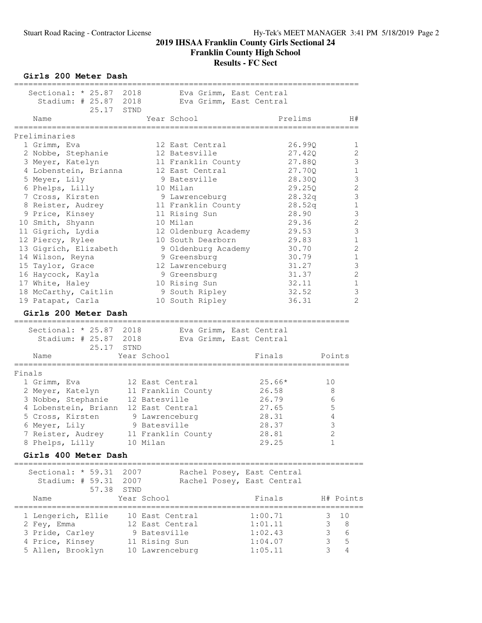**Girls 200 Meter Dash**

|        | Sectional: * 25.87 2018     |              |               |                      |  | Eva Grimm, East Central    |                               |                |
|--------|-----------------------------|--------------|---------------|----------------------|--|----------------------------|-------------------------------|----------------|
|        | Stadium: $# 25.87$<br>25.17 | 2018<br>STND |               |                      |  | Eva Grimm, East Central    |                               |                |
|        | Name                        |              |               | Year School          |  | Prelims                    |                               | H#             |
|        | Preliminaries               |              |               |                      |  |                            |                               |                |
|        | 1 Grimm, Eva                |              |               | 12 East Central      |  | 26.99Q                     |                               | 1              |
|        | 2 Nobbe, Stephanie          |              |               | 12 Batesville        |  | 27.420                     |                               | 2              |
|        | 3 Meyer, Katelyn            |              |               | 11 Franklin County   |  | 27.88Q                     |                               | 3              |
|        | 4 Lobenstein, Brianna       |              |               | 12 East Central      |  | 27.70Q                     |                               | 1              |
|        | 5 Meyer, Lily               |              |               | 9 Batesville         |  | 28.30Q                     |                               | 3              |
|        | 6 Phelps, Lilly             |              |               | 10 Milan             |  | 29.25Q                     |                               | $\overline{c}$ |
|        | 7 Cross, Kirsten            |              |               | 9 Lawrenceburg       |  | 28.32q                     |                               | $\mathsf 3$    |
|        | 8 Reister, Audrey           |              |               | 11 Franklin County   |  | 28.52q                     |                               | $\mathbf 1$    |
|        | 9 Price, Kinsey             |              |               | 11 Rising Sun        |  | 28.90                      |                               | 3              |
|        | 10 Smith, Shyann            |              |               | 10 Milan             |  | 29.36                      |                               | $\mathbf{2}$   |
|        | 11 Gigrich, Lydia           |              |               | 12 Oldenburg Academy |  | 29.53                      |                               | 3              |
|        | 12 Piercy, Rylee            |              |               | 10 South Dearborn    |  | 29.83                      |                               | $\mathbf{1}$   |
|        | 13 Gigrich, Elizabeth       |              |               | 9 Oldenburg Academy  |  | 30.70                      |                               | $\mathbf{2}$   |
|        | 14 Wilson, Reyna            |              |               | 9 Greensburg         |  | 30.79                      |                               | $\mathbf 1$    |
|        | 15 Taylor, Grace            |              |               | 12 Lawrenceburg      |  | 31.27                      |                               | $\mathsf 3$    |
|        | 16 Haycock, Kayla           |              |               | 9 Greensburg         |  | 31.37                      |                               | $\mathbf{2}$   |
|        | 17 White, Haley             |              |               | 10 Rising Sun        |  | 32.11                      |                               | 1              |
|        | 18 McCarthy, Caitlin        |              |               | 9 South Ripley       |  | 32.52                      |                               | 3              |
|        | 19 Patapat, Carla           |              |               | 10 South Ripley      |  | 36.31                      |                               | $\mathfrak{L}$ |
|        | Girls 200 Meter Dash        |              |               |                      |  |                            |                               |                |
|        | Sectional: $* 25.87$        | 2018         |               |                      |  | Eva Grimm, East Central    |                               |                |
|        | Stadium: $\#$ 25.87         | 2018         |               |                      |  | Eva Grimm, East Central    |                               |                |
|        | 25.17                       | STND         |               |                      |  |                            |                               |                |
|        | Name                        |              | Year School   |                      |  | Finals                     | Points                        |                |
|        |                             |              |               |                      |  |                            |                               |                |
| Finals |                             |              |               |                      |  |                            |                               |                |
|        | 1 Grimm, Eva                |              |               | 12 East Central      |  | $25.66*$                   | 10                            |                |
|        | 2 Meyer, Katelyn            |              |               | 11 Franklin County   |  | 26.58                      | 8                             |                |
|        | 3 Nobbe, Stephanie          |              | 12 Batesville |                      |  | 26.79                      | 6                             |                |
|        | 4 Lobenstein, Briann        |              |               | 12 East Central      |  | 27.65                      | $\mathsf S$                   |                |
|        | 5 Cross, Kirsten            |              |               | 9 Lawrenceburg       |  | 28.31                      | 4                             |                |
|        | 6 Meyer, Lily               |              | 9 Batesville  |                      |  | 28.37                      | 3                             |                |
|        | 7 Reister, Audrey           |              |               | 11 Franklin County   |  | 28.81                      | $\overline{c}$<br>$\mathbf 1$ |                |
|        | 8 Phelps, Lilly             |              | 10 Milan      |                      |  | 29.25                      |                               |                |
|        | Girls 400 Meter Dash        |              |               |                      |  |                            |                               |                |
|        | Sectional: * 59.31          | 2007         |               |                      |  | Rachel Posey, East Central |                               |                |
|        | Stadium: # 59.31            | 2007         |               |                      |  | Rachel Posey, East Central |                               |                |
|        | 57.38                       | STND         |               |                      |  |                            |                               |                |
|        | Name                        |              | Year School   |                      |  | Finals                     |                               | H# Points      |
|        | 1 Lengerich, Ellie          |              |               | 10 East Central      |  | 1:00.71                    | З                             | 10             |
|        | 2 Fey, Emma                 |              |               | 12 East Central      |  | 1:01.11                    | 3                             | 8              |
|        | 3 Pride, Carley             |              | 9 Batesville  |                      |  | 1:02.43                    | 3                             | 6              |
|        | 4 Price, Kinsey             |              | 11 Rising Sun |                      |  | 1:04.07                    | 3                             | 5              |
|        | 5 Allen, Brooklyn           |              |               | 10 Lawrenceburg      |  | 1:05.11                    | 3                             | 4              |
|        |                             |              |               |                      |  |                            |                               |                |

=========================================================================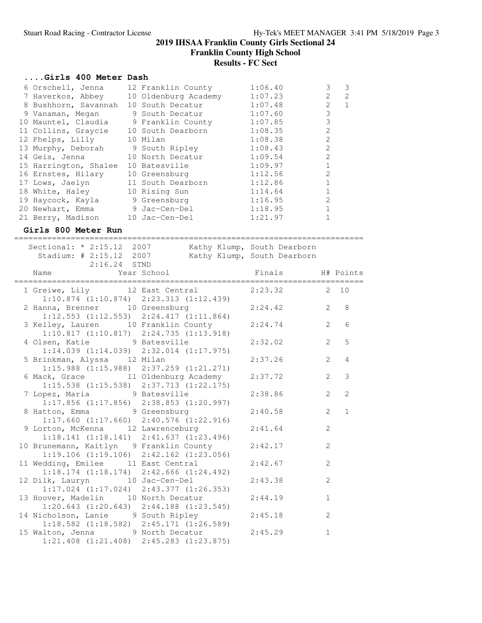**Franklin County High School**

#### **Results - FC Sect**

#### **....Girls 400 Meter Dash**

| 6 Orschell, Jenna                     | 12 Franklin County   | 1:06.40 | 3              | 3              |
|---------------------------------------|----------------------|---------|----------------|----------------|
| 7 Haverkos, Abbey                     | 10 Oldenburg Academy | 1:07.23 | 2              | $\overline{2}$ |
| 8 Bushhorn, Savannah                  | 10 South Decatur     | 1:07.48 | $\overline{2}$ |                |
| 9 Vanaman, Megan                      | 9 South Decatur      | 1:07.60 | 3              |                |
| 10 Mauntel, Claudia 9 Franklin County |                      | 1:07.85 | 3              |                |
| 11 Collins, Graycie                   | 10 South Dearborn    | 1:08.35 | $\mathfrak{D}$ |                |
| 12 Phelps, Lilly 10 Milan             |                      | 1:08.38 | $\mathcal{L}$  |                |
| 13 Murphy, Deborah                    | 9 South Ripley       | 1:08.43 | $\mathcal{L}$  |                |
| 14 Geis, Jenna                        | 10 North Decatur     | 1:09.54 | $\mathfrak{D}$ |                |
| 15 Harrington, Shalee                 | 10 Batesville        | 1:09.97 |                |                |
| 16 Ernstes, Hilary                    | 10 Greensburg        | 1:12.56 | $\mathfrak{D}$ |                |
| 17 Lows, Jaelyn                       | 11 South Dearborn    | 1:12.86 |                |                |
| 18 White, Haley                       | 10 Rising Sun        | 1:14.64 |                |                |
| 19 Haycock, Kayla                     | 9 Greensburg         | 1:16.95 | $\mathfrak{D}$ |                |
| 20 Newhart, Emma                      | 9 Jac-Cen-Del        | 1:18.95 |                |                |
| 21 Berry, Madison                     | 10 Jac-Cen-Del       | 1:21.97 |                |                |

#### **Girls 800 Meter Run**

========================================================================== Sectional: \* 2:15.12 2007 Kathy Klump, South Dearborn Stadium: # 2:15.12 2007 Kathy Klump, South Dearborn 2:16.24 STND Name Year School Finals H# Points ========================================================================== 1 Greiwe, Lily 12 East Central 1:10.874 (1:10.874) 2:23.313 (1:12.439) 2 Hanna, Brenner 10 Greensburg 2:24.42 2 8 1:12.553 (1:12.553) 2:24.417 (1:11.864) 3 Kelley, Lauren 10 Franklin County 2:24.74 2 6 1:10.817 (1:10.817) 2:24.735 (1:13.918) 4 Olsen, Katie 9 Batesville 2:32.02 2 5 1:14.039 (1:14.039) 2:32.014 (1:17.975) 5 Brinkman, Alyssa 12 Milan 2:37.26 2 4 1:15.988 (1:15.988) 2:37.259 (1:21.271) 6 Mack, Grace  $\begin{array}{ccc} 11 & 01 & \text{d} \text{enburg Academy} \ 11 & 21 & 37.72 \end{array}$  2 3 1:15.538 (1:15.538) 2:37.713 (1:22.175) 7 Lopez, Maria 9 Batesville 2:38.86 2 2 1:17.856 (1:17.856) 2:38.853 (1:20.997) 8 Hatton, Emma 9 Greensburg 2:40.58 2 1 1:17.660 (1:17.660) 2:40.576 (1:22.916) 9 Lorton, McKenna 12 Lawrenceburg 2:41.64 2 1:18.141 (1:18.141) 2:41.637 (1:23.496) 10 Brunemann, Kaitlyn 9 Franklin County 2:42.17 2 1:19.106 (1:19.106) 2:42.162 (1:23.056) 11 Wedding, Emilee 11 East Central 2:42.67 2 1:18.174 (1:18.174) 2:42.666 (1:24.492) 12 Dilk, Lauryn 10 Jac-Cen-Del 2:43.38 2 1:17.024 (1:17.024) 2:43.377 (1:26.353) 13 Hoover, Madelin 10 North Decatur 2:44.19 1 1:20.643 (1:20.643) 2:44.188 (1:23.545) 14 Nicholson, Lanie 9 South Ripley 2:45.18 2 1:18.582 (1:18.582) 2:45.171 (1:26.589) 15 Walton, Jenna 9 North Decatur 2:45.29 1 1:21.408 (1:21.408) 2:45.283 (1:23.875)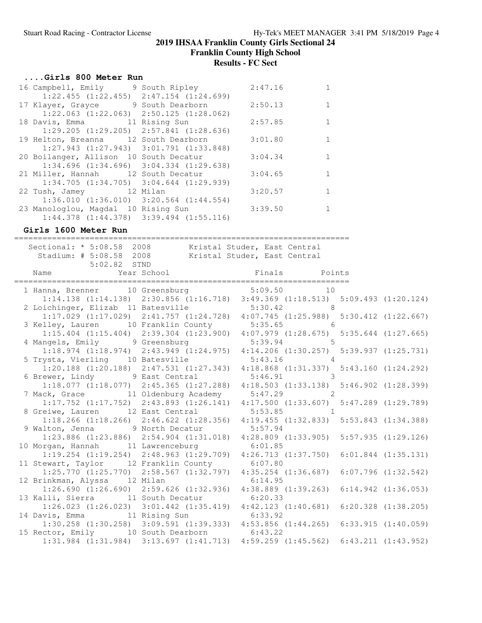**Franklin County High School**

**Results - FC Sect**

#### **....Girls 800 Meter Run**

|  | 16 Campbell, Emily 9 South Ripley               | 2:47.16 |  |
|--|-------------------------------------------------|---------|--|
|  | $1:22.455$ $(1:22.455)$ $2:47.154$ $(1:24.699)$ |         |  |
|  | 17 Klayer, Grayce 9 South Dearborn              | 2:50.13 |  |
|  | $1:22.063$ $(1:22.063)$ $2:50.125$ $(1:28.062)$ |         |  |
|  | 18 Davis, Emma 11 Rising Sun                    | 2:57.85 |  |
|  | $1:29.205$ $(1:29.205)$ $2:57.841$ $(1:28.636)$ |         |  |
|  | 19 Helton, Breanna 12 South Dearborn            | 3:01.80 |  |
|  | $1:27.943$ $(1:27.943)$ $3:01.791$ $(1:33.848)$ |         |  |
|  | 20 Boilanger, Allison 10 South Decatur          | 3:04.34 |  |
|  | $1:34.696$ $(1:34.696)$ $3:04.334$ $(1:29.638)$ |         |  |
|  | 21 Miller, Hannah 12 South Decatur              | 3:04.65 |  |
|  | $1:34.705$ $(1:34.705)$ $3:04.644$ $(1:29.939)$ |         |  |
|  | 22 Tush, Jamey 12 Milan                         | 3:20.57 |  |
|  | $1:36.010$ $(1:36.010)$ $3:20.564$ $(1:44.554)$ |         |  |
|  | 23 Manologlou, Magdal 10 Rising Sun             | 3:39.50 |  |
|  | $1:44.378$ $(1:44.378)$ $3:39.494$ $(1:55.116)$ |         |  |
|  |                                                 |         |  |

**Girls 1600 Meter Run**

======================================================================= Sectional: \* 5:08.58 2008 Kristal Studer, East Central Stadium: # 5:08.58 2008 Kristal Studer, East Central Stadium: # 5:08.58 2008<br>5:02.82 STND Name Year School **Finals** Points ======================================================================= 1 Hanna, Brenner 10 Greensburg 5:09.50 10 1:14.138 (1:14.138) 2:30.856 (1:16.718) 3:49.369 (1:18.513) 5:09.493 (1:20.124) 2 Loichinger, Elizab 11 Batesville 5:30.42 8 1:17.029 (1:17.029) 2:41.757 (1:24.728) 4:07.745 (1:25.988) 5:30.412 (1:22.667) 3 Kelley, Lauren 10 Franklin County 5:35.65 6 1:15.404 (1:15.404) 2:39.304 (1:23.900) 4:07.979 (1:28.675) 5:35.644 (1:27.665) 4 Mangels, Emily 9 Greensburg 5:39.94 5 1:18.974 (1:18.974) 2:43.949 (1:24.975) 4:14.206 (1:30.257) 5:39.937 (1:25.731) 5 Trysta, Vierling 10 Batesville 5:43.16 4 1:20.188 (1:20.188) 2:47.531 (1:27.343) 4:18.868 (1:31.337) 5:43.160 (1:24.292) 6 Brewer, Lindy 9 East Central 5:46.91 3 1:18.077 (1:18.077) 2:45.365 (1:27.288) 4:18.503 (1:33.138) 5:46.902 (1:28.399) 7 Mack, Grace 11 Oldenburg Academy 5:47.29 2 1:17.752 (1:17.752) 2:43.893 (1:26.141) 4:17.500 (1:33.607) 5:47.289 (1:29.789) 8 Greiwe, Lauren 12 East Central 5:53.85 1 1:18.266 (1:18.266) 2:46.622 (1:28.356) 4:19.455 (1:32.833) 5:53.843 (1:34.388) 9 Walton, Jenna 9 North Decatur 5:57.94 1:23.886 (1:23.886) 2:54.904 (1:31.018) 4:28.809 (1:33.905) 5:57.935 (1:29.126) 10 Morgan, Hannah 11 Lawrenceburg 6:01.85 1:19.254 (1:19.254) 2:48.963 (1:29.709) 4:26.713 (1:37.750) 6:01.844 (1:35.131) 11 Stewart, Taylor 12 Franklin County 6:07.80 1:25.770 (1:25.770) 2:58.567 (1:32.797) 4:35.254 (1:36.687) 6:07.796 (1:32.542) 12 Brinkman, Alyssa 12 Milan 6:14.95 1:26.690 (1:26.690) 2:59.626 (1:32.936) 4:38.889 (1:39.263) 6:14.942 (1:36.053) 13 Kalli, Sierra 11 South Decatur 6:20.33 1:26.023 (1:26.023) 3:01.442 (1:35.419) 4:42.123 (1:40.681) 6:20.328 (1:38.205) 14 Davis, Emma 11 Rising Sun 6:33.92 1:30.258 (1:30.258) 3:09.591 (1:39.333) 4:53.856 (1:44.265) 6:33.915 (1:40.059) 15 Rector, Emily 10 South Dearborn 6:43.22 1:31.984 (1:31.984) 3:13.697 (1:41.713) 4:59.259 (1:45.562) 6:43.211 (1:43.952)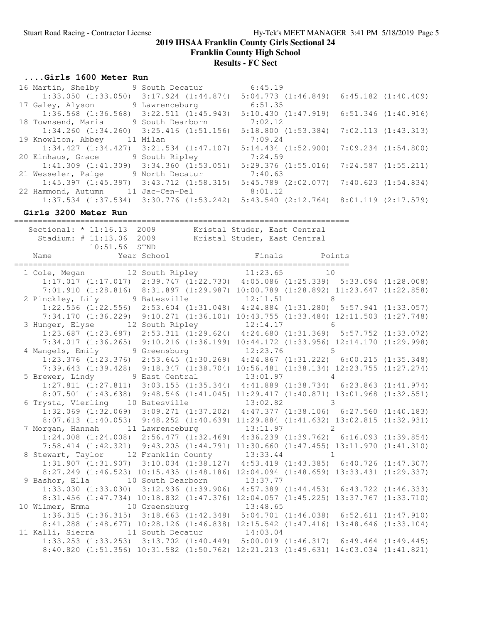**Franklin County High School**

# **Results - FC Sect**

#### **....Girls 1600 Meter Run**

| 16 Martin, Shelby                               | 9 South Decatur         | 6:45.19                                         |                         |
|-------------------------------------------------|-------------------------|-------------------------------------------------|-------------------------|
| $1:33.050$ $(1:33.050)$                         | $3:17.924$ $(1:44.874)$ | 5:04.773(1:46.849)                              | $6:45.182$ $(1:40.409)$ |
| 17 Galey, Alyson                                | 9 Lawrenceburg          | 6:51.35                                         |                         |
| $1:36.568$ $(1:36.568)$                         | $3:22.511$ $(1:45.943)$ | $5:10.430$ $(1:47.919)$ $6:51.346$ $(1:40.916)$ |                         |
| 18 Townsend, Maria                              | 9 South Dearborn        | 7:02.12                                         |                         |
| $1:34.260$ $(1:34.260)$ $3:25.416$ $(1:51.156)$ |                         | 5:18.800(1:53.384)                              | 7:02.113(1:43.313)      |
| 19 Knowlton, Abbey                              | 11 Milan                | 7:09.24                                         |                         |
| 1:34.427(1:34.427)                              | $3:21.534$ $(1:47.107)$ | $5:14.434$ $(1:52.900)$                         | 7:09.234 (1:54.800)     |
| 20 Einhaus, Grace                               | 9 South Ripley          | 7:24.59                                         |                         |
| $1:41.309$ $(1:41.309)$                         | $3:34.360$ $(1:53.051)$ | 5:29.376(1:55.016)                              | 7:24.587 (1:55.211)     |
| 21 Wesseler, Paige                              | 9 North Decatur         | 7:40.63                                         |                         |
| $1:45.397$ $(1:45.397)$ $3:43.712$ $(1:58.315)$ |                         | $5:45.789$ $(2:02.077)$ $7:40.623$ $(1:54.834)$ |                         |
| 22 Hammond, Autumn                              | 11 Jac-Cen-Del          | 8:01.12                                         |                         |
| $1:37.534$ $(1:37.534)$ $3:30.776$ $(1:53.242)$ |                         | $5:43.540$ $(2:12.764)$                         | 8:01.119 (2:17.579)     |

## **Girls 3200 Meter Run**

======================================================================= Sectional: \* 11:16.13 2009 Kristal Studer, East Central

| DECLIQUIQT. II.IO.IJ ZUUJ<br>Stadium: # 11:13.06 2009                                                                         | WITSTAT STUMET, BAST CENTIAL<br>Kristal Studer, East Central |  |  |
|-------------------------------------------------------------------------------------------------------------------------------|--------------------------------------------------------------|--|--|
| 10:51.56 STND                                                                                                                 |                                                              |  |  |
|                                                                                                                               |                                                              |  |  |
| 1 Cole, Megan 12 South Ripley 11:23.65 10                                                                                     |                                                              |  |  |
| $1:17.017$ (1:17.017) 2:39.747 (1:22.730) 4:05.086 (1:25.339) 5:33.094 (1:28.008)                                             |                                                              |  |  |
| 7:01.910 (1:28.816) 8:31.897 (1:29.987) 10:00.789 (1:28.892) 11:23.647 (1:22.858)                                             |                                                              |  |  |
| 2 Pinckley, Lily 9 Batesville 12:11.51 8                                                                                      |                                                              |  |  |
| $1:22.556$ (1:22.556) 2:53.604 (1:31.048) 4:24.884 (1:31.280) 5:57.941 (1:33.057)                                             |                                                              |  |  |
| 7:34.170 (1:36.229) 9:10.271 (1:36.101) 10:43.755 (1:33.484) 12:11.503 (1:27.748)                                             |                                                              |  |  |
| 3 Hunger, Elyse 12 South Ripley 12:14.17 6<br>1:23.687 (1:23.687) 2:53.311 (1:29.624) 4:24.680 (1:31.369) 5:57.752 (1:33.072) |                                                              |  |  |
|                                                                                                                               |                                                              |  |  |
| 7:34.017 (1:36.265) 9:10.216 (1:36.199) 10:44.172 (1:33.956) 12:14.170 (1:29.998)                                             |                                                              |  |  |
| 4 Mangels, Emily 9 Greensburg 12:23.76 5<br>1:23.376 (1:23.376) 2:53.645 (1:30.269) 4:24.867 (1:31.222) 6:00.215 (1:35.348)   |                                                              |  |  |
|                                                                                                                               |                                                              |  |  |
| 7:39.643 (1:39.428) 9:18.347 (1:38.704) 10:56.481 (1:38.134) 12:23.755 (1:27.274)                                             |                                                              |  |  |
| 5 Brewer, Lindy 9 East Central 13:01.97 4                                                                                     |                                                              |  |  |
| $1:27.811$ $(1:27.811)$ $3:03.155$ $(1:35.344)$ $4:41.889$ $(1:38.734)$ $6:23.863$ $(1:41.974)$                               |                                                              |  |  |
| 8:07.501 (1:43.638) 9:48.546 (1:41.045) 11:29.417 (1:40.871) 13:01.968 (1:32.551)                                             |                                                              |  |  |
| 6 Trysta, Vierling 10 Batesville 13:02.82 3                                                                                   |                                                              |  |  |
| $1:32.069$ (1:32.069) 3:09.271 (1:37.202) 4:47.377 (1:38.106) 6:27.560 (1:40.183)                                             |                                                              |  |  |
| 8:07.613 (1:40.053) 9:48.252 (1:40.639) 11:29.884 (1:41.632) 13:02.815 (1:32.931)                                             |                                                              |  |  |
| 7 Morgan, Hannah 11 Lawrenceburg 13:11.97 2                                                                                   |                                                              |  |  |
| $1:24.008$ $(1:24.008)$ $2:56.477$ $(1:32.469)$ $4:36.239$ $(1:39.762)$ $6:16.093$ $(1:39.854)$                               |                                                              |  |  |
| 7:58.414 (1:42.321) 9:43.205 (1:44.791) 11:30.660 (1:47.455) 13:11.970 (1:41.310)                                             |                                                              |  |  |
| 8 Stewart, Taylor 12 Franklin County 13:33.44 1                                                                               |                                                              |  |  |
| 1:31.907 (1:31.907) 3:10.034 (1:38.127) 4:53.419 (1:43.385) 6:40.726 (1:47.307)                                               |                                                              |  |  |
| 8:27.249 (1:46.523) 10:15.435 (1:48.186) 12:04.094 (1:48.659) 13:33.431 (1:29.337)                                            |                                                              |  |  |
| 9 Bashor, Ella 10 South Dearborn 13:37.77                                                                                     |                                                              |  |  |
| 1:33.030 (1:33.030) 3:12.936 (1:39.906) 4:57.389 (1:44.453) 6:43.722 (1:46.333)                                               |                                                              |  |  |
| 8:31.456 (1:47.734) 10:18.832 (1:47.376) 12:04.057 (1:45.225) 13:37.767 (1:33.710)                                            |                                                              |  |  |
| 10 Wilmer, Emma 10 Greensburg 13:48.65                                                                                        |                                                              |  |  |
| $1:36.315$ (1:36.315) $3:18.663$ (1:42.348) $5:04.701$ (1:46.038) 6:52.611 (1:47.910)                                         |                                                              |  |  |
| 8:41.288 (1:48.677) 10:28.126 (1:46.838) 12:15.542 (1:47.416) 13:48.646 (1:33.104)                                            |                                                              |  |  |
| 11 Kalli, Sierra 11 South Decatur 14:03.04                                                                                    |                                                              |  |  |
| 1:33.253 (1:33.253) 3:13.702 (1:40.449) 5:00.019 (1:46.317) 6:49.464 (1:49.445)                                               |                                                              |  |  |
| 8:40.820 (1:51.356) 10:31.582 (1:50.762) 12:21.213 (1:49.631) 14:03.034 (1:41.821)                                            |                                                              |  |  |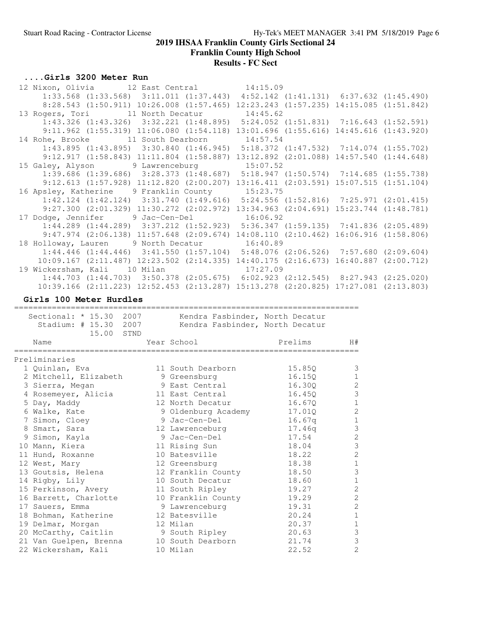**Franklin County High School**

**Results - FC Sect**

### **....Girls 3200 Meter Run**

| 12 Nixon, Olivia 12 East Central 14:15.09                                             |                                                                                                    |          |  |  |
|---------------------------------------------------------------------------------------|----------------------------------------------------------------------------------------------------|----------|--|--|
|                                                                                       | $1:33.568$ $(1:33.568)$ $3:11.011$ $(1:37.443)$ $4:52.142$ $(1:41.131)$ $6:37.632$ $(1:45.490)$    |          |  |  |
|                                                                                       | 8:28.543 (1:50.911) 10:26.008 (1:57.465) 12:23.243 (1:57.235) 14:15.085 (1:51.842)                 |          |  |  |
| 13 Rogers, Tori 11 North Decatur 14:45.62                                             |                                                                                                    |          |  |  |
|                                                                                       | $1:43.326$ $(1:43.326)$ $3:32.221$ $(1:48.895)$ $5:24.052$ $(1:51.831)$ $7:16.643$ $(1:52.591)$    |          |  |  |
|                                                                                       | $9:11.962$ $(1:55.319)$ $11:06.080$ $(1:54.118)$ $13:01.696$ $(1:55.616)$ $14:45.616$ $(1:43.920)$ |          |  |  |
| 14 Rohe, Brooke 11 South Dearborn 14:57.54                                            |                                                                                                    |          |  |  |
|                                                                                       | $1:43.895$ $(1:43.895)$ $3:30.840$ $(1:46.945)$ $5:18.372$ $(1:47.532)$ $7:14.074$ $(1:55.702)$    |          |  |  |
|                                                                                       | 9:12.917 (1:58.843) 11:11.804 (1:58.887) 13:12.892 (2:01.088) 14:57.540 (1:44.648)                 |          |  |  |
| 15 Galey, Alyson 9 Lawrenceburg 15:07.52                                              |                                                                                                    |          |  |  |
|                                                                                       | $1:39.686$ $(1:39.686)$ $3:28.373$ $(1:48.687)$ $5:18.947$ $(1:50.574)$ $7:14.685$ $(1:55.738)$    |          |  |  |
|                                                                                       | $9:12.613$ $(1:57.928)$ $11:12.820$ $(2:00.207)$ $13:16.411$ $(2:03.591)$ $15:07.515$ $(1:51.104)$ |          |  |  |
| 16 Apsley, Katherine 9 Franklin County 15:23.75                                       |                                                                                                    |          |  |  |
|                                                                                       | $1:42.124$ $(1:42.124)$ $3:31.740$ $(1:49.616)$ $5:24.556$ $(1:52.816)$ $7:25.971$ $(2:01.415)$    |          |  |  |
|                                                                                       | $9:27.300$ $(2:01.329)$ $11:30.272$ $(2:02.972)$ $13:34.963$ $(2:04.691)$ $15:23.744$ $(1:48.781)$ |          |  |  |
| 17 Dodge, Jennifer 9 Jac-Cen-Del 16:06.92                                             |                                                                                                    |          |  |  |
|                                                                                       | $1:44.289$ $(1:44.289)$ $3:37.212$ $(1:52.923)$ $5:36.347$ $(1:59.135)$ $7:41.836$ $(2:05.489)$    |          |  |  |
|                                                                                       | $9:47.974$ $(2:06.138)$ $11:57.648$ $(2:09.674)$ $14:08.110$ $(2:10.462)$ $16:06.916$ $(1:58.806)$ |          |  |  |
| 18 Holloway, Lauren 9 North Decatur 16:40.89                                          |                                                                                                    |          |  |  |
| $1:44.446$ (1:44.446) $3:41.550$ (1:57.104) $5:48.076$ (2:06.526) 7:57.680 (2:09.604) |                                                                                                    |          |  |  |
| $10:09.167$ (2:11.487) 12:23.502 (2:14.335) 14:40.175 (2:16.673) 16:40.887 (2:00.712) |                                                                                                    |          |  |  |
| 19 Wickersham, Kali 10 Milan                                                          |                                                                                                    | 17:27.09 |  |  |
|                                                                                       |                                                                                                    |          |  |  |
|                                                                                       | $1:44.703$ $(1:44.703)$ $3:50.378$ $(2:05.675)$ $6:02.923$ $(2:12.545)$ $8:27.943$ $(2:25.020)$    |          |  |  |

#### **Girls 100 Meter Hurdles**

=========================================================================

| Sectional: * 15.30 2007<br>Stadium: # 15.30 2007<br>15.00<br>STND | Kendra Fasbinder, North Decatur<br>Kendra Fasbinder, North Decatur |         |                |
|-------------------------------------------------------------------|--------------------------------------------------------------------|---------|----------------|
| Name                                                              | Year School                                                        | Prelims | H#             |
| Preliminaries                                                     |                                                                    |         |                |
| 1 Quinlan, Eva                                                    | 11 South Dearborn                                                  | 15.850  | 3              |
| 2 Mitchell, Elizabeth                                             | 9 Greensburg                                                       | 16.150  | 1              |
| 3 Sierra, Megan                                                   | 9 East Central                                                     | 16.300  | 2              |
| 4 Rosemeyer, Alicia                                               | 11 East Central                                                    | 16.450  | $\mathfrak{Z}$ |
| 5 Day, Maddy                                                      | 12 North Decatur                                                   | 16.670  | $\mathbf 1$    |
| 6 Walke, Kate                                                     | 9 Oldenburg Academy                                                | 17.010  | $\mathbf{2}$   |
| 7 Simon, Cloey                                                    | 9 Jac-Cen-Del                                                      | 16.67q  | $\mathbf 1$    |
| 8 Smart, Sara                                                     | 12 Lawrenceburg                                                    | 17.46q  | 3              |
| 9 Simon, Kayla                                                    | 9 Jac-Cen-Del                                                      | 17.54   | $\overline{2}$ |
| 10 Mann, Kiera                                                    | 11 Rising Sun                                                      | 18.04   | $\mathfrak{Z}$ |
| 11 Hund, Roxanne                                                  | 10 Batesville                                                      | 18.22   | $\overline{2}$ |
| 12 West, Mary                                                     | 12 Greensburg                                                      | 18.38   | $\mathbf{1}$   |
| 13 Goutsis, Helena                                                | 12 Franklin County                                                 | 18.50   | $\mathfrak{Z}$ |
| 14 Rigby, Lily                                                    | 10 South Decatur                                                   | 18.60   | $\mathbf 1$    |
| 15 Perkinson, Avery                                               | 11 South Ripley                                                    | 19.27   | 2              |
| 16 Barrett, Charlotte                                             | 10 Franklin County                                                 | 19.29   | $\overline{2}$ |
| 17 Sauers, Emma                                                   | 9 Lawrenceburg                                                     | 19.31   | $\overline{2}$ |
| 18 Bohman, Katherine                                              | 12 Batesville                                                      | 20.24   | $\mathbf 1$    |
| 19 Delmar, Morgan                                                 | 12 Milan                                                           | 20.37   | $\mathbf 1$    |
| 20 McCarthy, Caitlin                                              | 9 South Ripley                                                     | 20.63   | $\mathsf 3$    |
| 21 Van Guelpen, Brenna                                            | 10 South Dearborn                                                  | 21.74   | 3              |
| 22 Wickersham, Kali                                               | 10 Milan                                                           | 22.52   | $\overline{2}$ |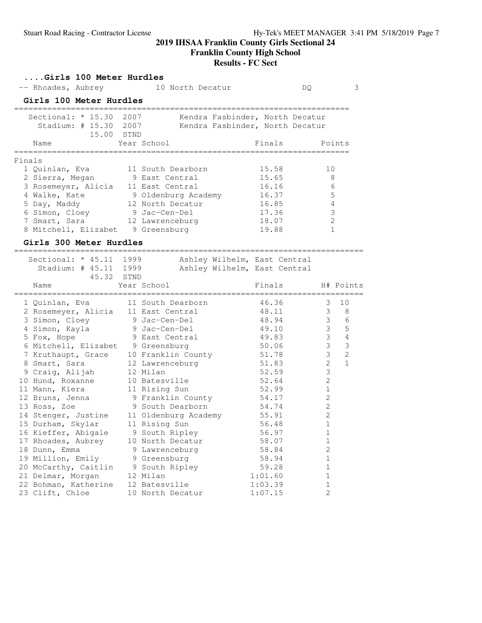#### **Franklin County High School**

#### **Results - FC Sect**

#### **....Girls 100 Meter Hurdles** -- Rhoades, Aubrey 10 North Decatur DQ 3 **Girls 100 Meter Hurdles** ======================================================================= Sectional: \* 15.30 2007 Kendra Fasbinder, North Decatur Stadium: # 15.30 2007 Kendra Fasbinder, North Decatur 15.00 STND Name Year School Tinals Points ======================================================================= Finals 1 Quinlan, Eva 11 South Dearborn 15.58 10 2 Sierra, Megan 9 East Central 15.65 8 3 Rosemeyer, Alicia 11 East Central 16.16 6 4 Walke, Kate  $\begin{array}{ccc} 9 & \text{O}1\text{denburg Academy} \end{array}$  16.37 5 5 Day, Maddy 12 North Decatur 16.85 4 6 Simon, Cloey 9 Jac-Cen-Del 17.36 3 7 Smart, Sara  $12$  Lawrenceburg  $18.07$  2 8 Mitchell, Elizabet 9 Greensburg 19.88 1

#### **Girls 300 Meter Hurdles**

|                                                                | -------------                                                |                  |                |                |
|----------------------------------------------------------------|--------------------------------------------------------------|------------------|----------------|----------------|
| Sectional: * 45.11 1999<br>Stadium: # 45.11 1999<br>45.32 STND | Ashley Wilhelm, East Central<br>Ashley Wilhelm, East Central |                  |                |                |
| Name                                                           | Year School                                                  | Finals H# Points |                |                |
| 1 Quinlan, Eva                                                 | 11 South Dearborn                                            | 46.36            | 3              | 10             |
|                                                                | 2 Rosemeyer, Alicia 11 East Central 48.11                    |                  | 3 <sup>7</sup> | 8              |
| 3 Simon, Cloey 9 Jac-Cen-Del                                   |                                                              | 48.94            |                | $3\qquad 6$    |
| 4 Simon, Kayla (9 Jac-Cen-Del)                                 |                                                              | 49.10            | $\mathcal{S}$  | 5              |
| 5 Fox, Hope                                                    | 9 East Central                                               | 49.83            | $\mathfrak{Z}$ | $\sqrt{4}$     |
| 6 Mitchell, Elizabet 9 Greensburg                              |                                                              | 50.06            | $\mathcal{S}$  | $\mathfrak{Z}$ |
| 7 Kruthaupt, Grace                                             | 10 Franklin County                                           | 51.78            | $\mathcal{S}$  | $\overline{2}$ |
| 8 Smart, Sara                                                  | 12 Lawrenceburg                                              | 51.83            | $\overline{2}$ | $\overline{1}$ |
| 9 Craig, Alijah                                                | 12 Milan                                                     | 52.59            | 3              |                |
| 10 Hund, Roxanne                                               | 10 Batesville                                                | 52.64            | $\mathbf{2}$   |                |
| 11 Mann, Kiera                                                 | 11 Rising Sun                                                | 52.99            | $\mathbf 1$    |                |
|                                                                | 12 Bruns, Jenna 9 Franklin County 54.17                      |                  | 2              |                |
| 13 Ross, Zoe                                                   | 9 South Dearborn                                             | 54.74            | 2              |                |
| 14 Stenger, Justine                                            | 11 Oldenburg Academy 55.91                                   |                  | $\overline{2}$ |                |
| 15 Durham, Skylar                                              | 11 Rising Sun                                                | 56.48            | $\mathbf{1}$   |                |
| 16 Kieffer, Abigale 9 South Ripley                             |                                                              | 56.97            | $\mathbf 1$    |                |
| 17 Rhoades, Aubrey                                             | 10 North Decatur                                             | 58.07            | $\mathbf 1$    |                |
| 18 Dunn, Emma                                                  | 9 Lawrenceburg                                               | 58.84            | $\overline{c}$ |                |
| 19 Million, Emily 9 Greensburg                                 |                                                              | 58.94            | $\mathbf{1}$   |                |
| 20 McCarthy, Caitlin 9 South Ripley                            |                                                              | 59.28            | $\mathbf{1}$   |                |
| 21 Delmar, Morgan                                              | 12 Milan                                                     | 1:01.60          | $\mathbf{1}$   |                |
| 22 Bohman, Katherine                                           | 12 Batesville                                                | 1:03.39          | $\mathbf 1$    |                |
| 23 Clift, Chloe                                                | 10 North Decatur                                             | 1:07.15          | $\overline{c}$ |                |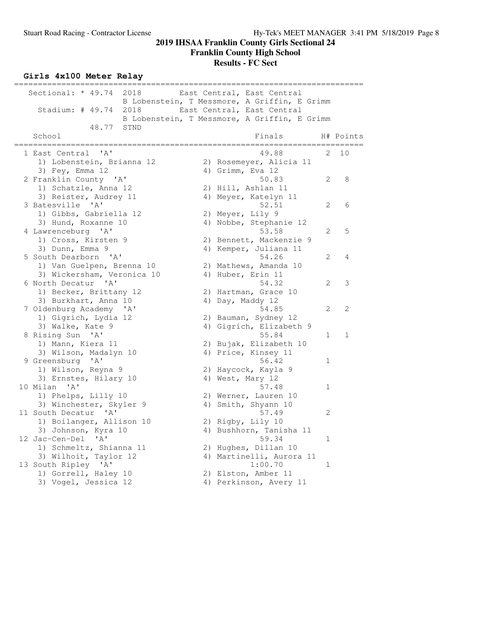**Franklin County High School**

## **Results - FC Sect**

# **Girls 4x100 Meter Relay**

| Sectional: $* 49.74$<br>2018<br>East Central, East Central |           |
|------------------------------------------------------------|-----------|
| B Lobenstein, T Messmore, A Griffin, E Grimm               |           |
| Stadium: $\#$ 49.74<br>2018<br>East Central, East Central  |           |
| B Lobenstein, T Messmore, A Griffin, E Grimm               |           |
| 48.77<br>STND                                              |           |
| School<br>Finals                                           | H# Points |
| ==============                                             |           |
| 1 East Central<br>' A'<br>49.88<br>2.                      | 10        |
| 1) Lobenstein, Brianna 12<br>2) Rosemeyer, Alicia 11       |           |
| 4) Grimm, Eva 12<br>3) Fey, Emma 12                        |           |
| 2 Franklin County 'A'<br>50.83<br>2                        | 8         |
| 1) Schatzle, Anna 12<br>2) Hill, Ashlan 11                 |           |
| 3) Reister, Audrey 11<br>4) Meyer, Katelyn 11              |           |
| 52.51<br>3 Batesville 'A'<br>2                             | 6         |
| 1) Gibbs, Gabriella 12<br>2) Meyer, Lily 9                 |           |
| 3) Hund, Roxanne 10<br>4) Nobbe, Stephanie 12              |           |
| 53.58<br>4 Lawrenceburg 'A'<br>2                           | 5         |
| 1) Cross, Kirsten 9<br>2) Bennett, Mackenzie 9             |           |
| 3) Dunn, Emma 9<br>4) Kemper, Juliana 11                   |           |
| 5 South Dearborn 'A'<br>54.26<br>2                         | 4         |
| 1) Van Guelpen, Brenna 10<br>2) Mathews, Amanda 10         |           |
| 3) Wickersham, Veronica 10<br>4) Huber, Erin 11            |           |
| 6 North Decatur 'A'<br>54.32<br>2                          | 3         |
| 1) Becker, Brittany 12<br>2) Hartman, Grace 10             |           |
| 3) Burkhart, Anna 10<br>4) Day, Maddy 12                   |           |
| 54.85<br>7 Oldenburg Academy 'A'<br>2                      | 2         |
| 1) Gigrich, Lydia 12<br>2) Bauman, Sydney 12               |           |
| 3) Walke, Kate 9<br>4) Gigrich, Elizabeth 9                |           |
| 8 Rising Sun 'A'<br>55.84<br>1                             | 1         |
| 1) Mann, Kiera 11<br>2) Bujak, Elizabeth 10                |           |
| 3) Wilson, Madalyn 10<br>4) Price, Kinsey 11               |           |
| 56.42<br>9 Greensburg<br>$^{\prime}$ A $^{\prime}$<br>1    |           |
| 2) Haycock, Kayla 9<br>1) Wilson, Reyna 9                  |           |
| 3) Ernstes, Hilary 10<br>4) West, Mary 12                  |           |
| 10 Milan 'A'<br>57.48<br>1                                 |           |
| 1) Phelps, Lilly 10<br>2) Werner, Lauren 10                |           |
| 3) Winchester, Skyler 9<br>Smith, Shyann 10<br>4)          |           |
| 11 South Decatur 'A'<br>57.49<br>2                         |           |
| 1) Boilanger, Allison 10<br>2) Rigby, Lily 10              |           |
| 4) Bushhorn, Tanisha 11<br>3) Johnson, Kyra 10             |           |
| 12 Jac-Cen-Del 'A'<br>59.34<br>1                           |           |
| 2) Hughes, Dillan 10<br>1) Schmeltz, Shianna 11            |           |
| 3) Wilhoit, Taylor 12<br>4) Martinelli, Aurora 11          |           |
| 13 South Ripley 'A'<br>1:00.70<br>1                        |           |
| 1) Gorrell, Haley 10<br>2) Elston, Amber 11                |           |
| 3) Vogel, Jessica 12<br>4) Perkinson, Avery 11             |           |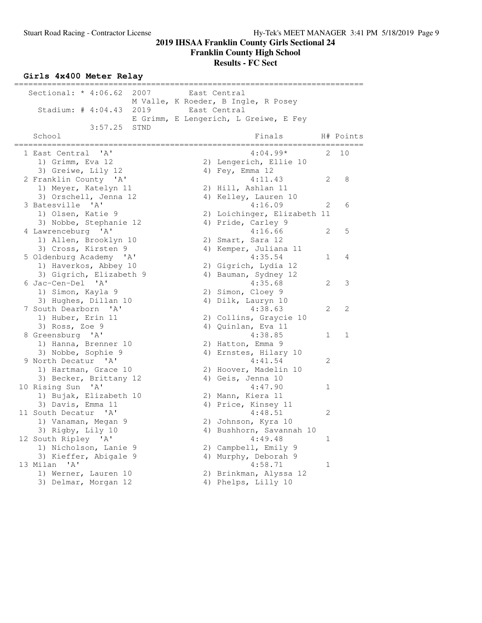# **Girls 4x400 Meter Relay**

| Sectional: $* 4:06.62$                    | 2007 | East Central                          |              |              |
|-------------------------------------------|------|---------------------------------------|--------------|--------------|
|                                           |      | M Valle, K Roeder, B Ingle, R Posey   |              |              |
| Stadium: $\#$ 4:04.43                     | 2019 | East Central                          |              |              |
|                                           |      | E Grimm, E Lengerich, L Greiwe, E Fey |              |              |
| 3:57.25<br>School                         | STND | Finals                                |              | H# Points    |
| ---------                                 |      |                                       |              |              |
| 1 East Central<br>' A'                    |      | $4:04.99*$                            | 2.           | 10           |
| 1) Grimm, Eva 12                          |      | 2) Lengerich, Ellie 10                |              |              |
| 3) Greiwe, Lily 12                        |      | 4) $Fey$ , Emma 12                    |              |              |
| 2 Franklin County 'A'                     |      | 4:11.43                               | 2            | 8            |
| 1) Meyer, Katelyn 11                      |      | 2) Hill, Ashlan 11                    |              |              |
| 3) Orschell, Jenna 12                     |      | 4) Kelley, Lauren 10                  |              |              |
| 3 Batesville 'A'                          |      | 4:16.09                               | 2            | 6            |
| 1) Olsen, Katie 9                         |      | 2) Loichinger, Elizabeth 11           |              |              |
| 3) Nobbe, Stephanie 12                    |      | 4) Pride, Carley 9                    |              |              |
| 4 Lawrenceburg 'A'                        |      | 4:16.66                               | 2            | 5            |
| 1) Allen, Brooklyn 10                     |      | 2) Smart, Sara 12                     |              |              |
| 3) Cross, Kirsten 9                       |      | 4) Kemper, Juliana 11                 |              |              |
| 5 Oldenburg Academy 'A'                   |      | 4:35.54                               | $\mathbf{1}$ | 4            |
| 1) Haverkos, Abbey 10                     |      | 2) Gigrich, Lydia 12                  |              |              |
| 3) Gigrich, Elizabeth 9                   |      | 4) Bauman, Sydney 12                  |              |              |
| 6 Jac-Cen-Del 'A'                         |      | 4:35.68                               | 2            | 3            |
| 1) Simon, Kayla 9                         |      | 2) Simon, Cloey 9                     |              |              |
| 3) Hughes, Dillan 10                      |      | 4) Dilk, Lauryn 10                    |              |              |
| 7 South Dearborn 'A'                      |      | 4:38.63                               | 2            | 2            |
| 1) Huber, Erin 11                         |      | 2) Collins, Graycie 10                |              |              |
| 3) Ross, Zoe 9                            |      | 4) Quinlan, Eva 11                    |              |              |
| 8 Greensburg 'A'                          |      | 4:38.85                               | $\mathbf{1}$ | $\mathbf{1}$ |
| 1) Hanna, Brenner 10                      |      | 2) Hatton, Emma 9                     |              |              |
| 3) Nobbe, Sophie 9                        |      | 4) Ernstes, Hilary 10                 |              |              |
| 9 North Decatur 'A'                       |      | 4:41.54                               | 2            |              |
| 1) Hartman, Grace 10                      |      | 2) Hoover, Madelin 10                 |              |              |
| 3) Becker, Brittany 12                    |      | 4) Geis, Jenna 10                     | $\mathbf 1$  |              |
| 10 Rising Sun 'A'                         |      | 4:47.90                               |              |              |
| 1) Bujak, Elizabeth 10                    |      | 2) Mann, Kiera 11                     |              |              |
| 3) Davis, Emma 11<br>11 South Decatur 'A' |      | 4) Price, Kinsey 11<br>4:48.51        | 2            |              |
| 1) Vanaman, Megan 9                       |      | 2) Johnson, Kyra 10                   |              |              |
| 3) Rigby, Lily 10                         |      | 4) Bushhorn, Savannah 10              |              |              |
| 12 South Ripley 'A'                       |      | 4:49.48                               | $\mathbf{1}$ |              |
| 1) Nicholson, Lanie 9                     |      | 2) Campbell, Emily 9                  |              |              |
| 3) Kieffer, Abigale 9                     |      | 4) Murphy, Deborah 9                  |              |              |
| 13 Milan<br>' A'                          |      | 4:58.71                               | 1            |              |
| 1) Werner, Lauren 10                      |      | 2) Brinkman, Alyssa 12                |              |              |
| 3) Delmar, Morgan 12                      |      | 4) Phelps, Lilly 10                   |              |              |
|                                           |      |                                       |              |              |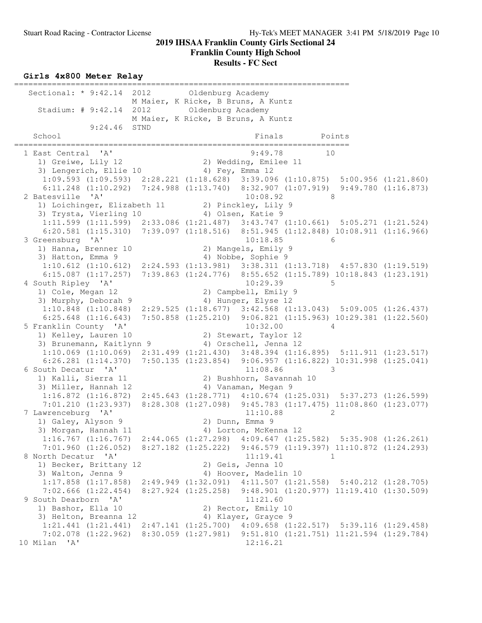#### **Girls 4x800 Meter Relay**

======================================================================= Sectional: \* 9:42.14 2012 Oldenburg Academy M Maier, K Ricke, B Bruns, A Kuntz Stadium: # 9:42.14 2012 Oldenburg Academy M Maier, K Ricke, B Bruns, A Kuntz 9:24.46 STND School Finals Points Points Points Points Points Points Points Points Points Points Points Points Points Points Points Points Points Points Points Points Points Points Points Points Points Points Points Points Points Point ======================================================================= 1 East Central 'A' 9:49.78 10 1) Greiwe, Lily 12 2) Wedding, Emilee 11 3) Lengerich, Ellie 10 (4) Fey, Emma 12 1:09.593 (1:09.593) 2:28.221 (1:18.628) 3:39.096 (1:10.875) 5:00.956 (1:21.860) 6:11.248 (1:10.292) 7:24.988 (1:13.740) 8:32.907 (1:07.919) 9:49.780 (1:16.873) 2 Batesville 'A' 10:08.92 8 1) Loichinger, Elizabeth 11 2) Pinckley, Lily 9 3) Trysta, Vierling 10 (4) Olsen, Katie 9 1:11.599 (1:11.599) 2:33.086 (1:21.487) 3:43.747 (1:10.661) 5:05.271 (1:21.524) 6:20.581 (1:15.310) 7:39.097 (1:18.516) 8:51.945 (1:12.848) 10:08.911 (1:16.966) 3 Greensburg 'A' 10:18.85 6 1) Hanna, Brenner 10 (2) Mangels, Emily 9 3) Hatton, Emma 9 4) Nobbe, Sophie 9 1:10.612 (1:10.612) 2:24.593 (1:13.981) 3:38.311 (1:13.718) 4:57.830 (1:19.519) 6:15.087 (1:17.257) 7:39.863 (1:24.776) 8:55.652 (1:15.789) 10:18.843 (1:23.191) 4 South Ripley 'A' 10:29.39 5 1) Cole, Megan 12 2) Campbell, Emily 9 3) Murphy, Deborah 9 (4) Hunger, Elyse 12 1:10.848 (1:10.848) 2:29.525 (1:18.677) 3:42.568 (1:13.043) 5:09.005 (1:26.437) 6:25.648 (1:16.643) 7:50.858 (1:25.210) 9:06.821 (1:15.963) 10:29.381 (1:22.560) 5 Franklin County 'A' 10:32.00 4<br>1) Kelley, Lauren 10 2) Stewart, Taylor 12 1) Kelley, Lauren 10 2) Stewart, Taylor 12 3) Brunemann, Kaitlynn 9 4) Orschell, Jenna 12 1:10.069 (1:10.069) 2:31.499 (1:21.430) 3:48.394 (1:16.895) 5:11.911 (1:23.517) 6:26.281 (1:14.370) 7:50.135 (1:23.854) 9:06.957 (1:16.822) 10:31.998 (1:25.041) 6 South Decatur 'A' 11:08.86 3 1) Kalli, Sierra 11 2) Bushhorn, Savannah 10 3) Miller, Hannah 12 4) Vanaman, Megan 9 1:16.872 (1:16.872) 2:45.643 (1:28.771) 4:10.674 (1:25.031) 5:37.273 (1:26.599) 7:01.210 (1:23.937) 8:28.308 (1:27.098) 9:45.783 (1:17.475) 11:08.860 (1:23.077) 7 Lawrenceburg 'A' 11:10.88 2 1) Galey, Alyson 9 2) Dunn, Emma 9 3) Morgan, Hannah 11 4) Lorton, McKenna 12 1:16.767 (1:16.767) 2:44.065 (1:27.298) 4:09.647 (1:25.582) 5:35.908 (1:26.261) 7:01.960 (1:26.052) 8:27.182 (1:25.222) 9:46.579 (1:19.397) 11:10.872 (1:24.293) 8 North Decatur 'A' 11:19.41 1 1) Becker, Brittany 12 (2) Geis, Jenna 10 3) Walton, Jenna 9 4) Hoover, Madelin 10 1:17.858 (1:17.858) 2:49.949 (1:32.091) 4:11.507 (1:21.558) 5:40.212 (1:28.705) 7:02.666 (1:22.454) 8:27.924 (1:25.258) 9:48.901 (1:20.977) 11:19.410 (1:30.509) 9 South Dearborn 'A' 11:21.60<br>1) Bashor, Ella 10 2) Rector, Emily 1) Bashor, Ella 10 2) Rector, Emily 10 3) Helton, Breanna 12 and 4) Klayer, Grayce 9 1:21.441 (1:21.441) 2:47.141 (1:25.700) 4:09.658 (1:22.517) 5:39.116 (1:29.458) 7:02.078 (1:22.962) 8:30.059 (1:27.981) 9:51.810 (1:21.751) 11:21.594 (1:29.784) 10 Milan 'A' 12:16.21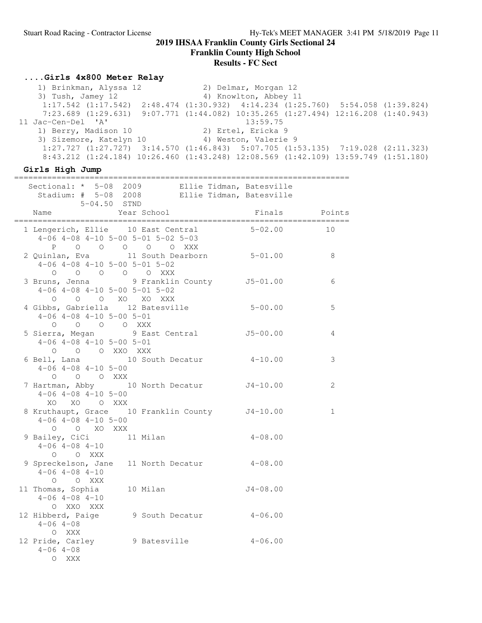**Franklin County High School**

#### **Results - FC Sect**

### **....Girls 4x800 Meter Relay**

 1) Brinkman, Alyssa 12 2) Delmar, Morgan 12 4) Knowlton, Abbey 11 1:17.542 (1:17.542) 2:48.474 (1:30.932) 4:14.234 (1:25.760) 5:54.058 (1:39.824) 7:23.689 (1:29.631) 9:07.771 (1:44.082) 10:35.265 (1:27.494) 12:16.208 (1:40.943) 11 Jac-Cen-Del 'A' 13:59.75 1) Berry, Madison 10 2) Ertel, Ericka 9 3) Sizemore, Katelyn 10 <a>
4) Weston, Valerie 9 1:27.727 (1:27.727) 3:14.570 (1:46.843) 5:07.705 (1:53.135) 7:19.028 (2:11.323) 8:43.212 (1:24.184) 10:26.460 (1:43.248) 12:08.569 (1:42.109) 13:59.749 (1:51.180)

**Girls High Jump**

| Sectional: * 5-08 2009 Ellie Tidman, Batesville<br>Stadium: # 5-08 2008 Ellie Tidman, Batesville<br>5-04.50 STND                             |             |               |              |
|----------------------------------------------------------------------------------------------------------------------------------------------|-------------|---------------|--------------|
| Name                                                                                                                                         | Year School | Finals Points |              |
| 1 Lengerich, Ellie 10 East Central<br>$4-06$ $4-08$ $4-10$ $5-00$ $5-01$ $5-02$ $5-03$<br>P 0 0 0 0 0 XXX                                    |             | $5 - 02.00$   | 10           |
| 2 Quinlan, Eva 11 South Dearborn 5-01.00<br>$4-06$ $4-08$ $4-10$ $5-00$ $5-01$ $5-02$                                                        |             |               | 8            |
| 0 0 0 0 0 0 XXX<br>3 Bruns, Jenna 9 Franklin County 15-01.00<br>$4-06$ $4-08$ $4-10$ $5-00$ $5-01$ $5-02$<br>O O O XO XO XXX                 |             |               | 6            |
| 4 Gibbs, Gabriella 12 Batesville 5-00.00<br>$4-06$ $4-08$ $4-10$ $5-00$ $5-01$<br>0 0 0 0 0 XXX<br>5 Sierra, Megan 9 East Central 5 35-00.00 |             |               | 5            |
| $4-06$ $4-08$ $4-10$ $5-00$ $5-01$<br>O O O XXO XXX                                                                                          |             |               | 4            |
| 6 Bell, Lana 10 South Decatur 4-10.00<br>$4-06$ $4-08$ $4-10$ $5-00$<br>O O O XXX                                                            |             |               | 3            |
| 7 Hartman, Abby 10 North Decatur J4-10.00<br>$4-06$ $4-08$ $4-10$ $5-00$<br>XO XO O XXX                                                      |             |               | 2            |
| 8 Kruthaupt, Grace 10 Franklin County J4-10.00<br>$4-06$ $4-08$ $4-10$ $5-00$<br>O O XO XXX                                                  |             |               | $\mathbf{1}$ |
| 9 Bailey, CiCi 11 Milan<br>$4-06$ $4-08$ $4-10$<br>O O XXX                                                                                   |             | $4 - 08.00$   |              |
| 9 Spreckelson, Jane 11 North Decatur 4-08.00<br>$4-06$ $4-08$ $4-10$<br>O O XXX                                                              |             |               |              |
| 11 Thomas, Sophia 10 Milan 10 J4-08.00<br>$4-06$ $4-08$ $4-10$<br>O XXO XXX                                                                  |             |               |              |
| 12 Hibberd, Paige 9 South Decatur 4-06.00<br>$4 - 06$ $4 - 08$<br>O XXX                                                                      |             |               |              |
| 12 Pride, Carley 9 Batesville 4-06.00<br>$4 - 06$ $4 - 08$<br>O XXX                                                                          |             |               |              |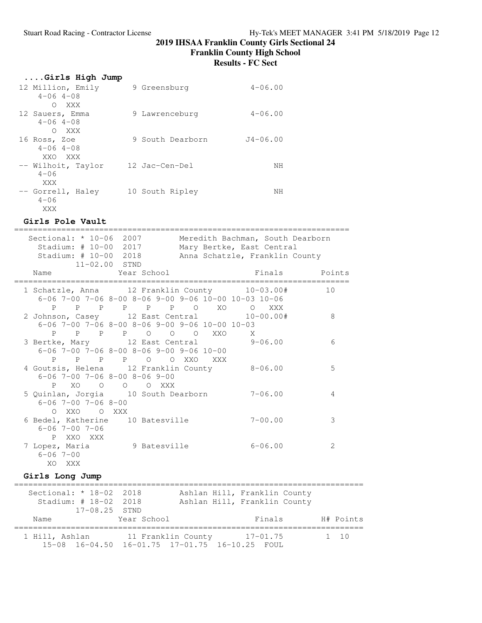**Franklin County High School**

**Results - FC Sect**

| Girls High Jump                        |                  |              |
|----------------------------------------|------------------|--------------|
| 12 Million, Emily<br>$4 - 06$ $4 - 08$ | 9 Greensburg     | $4 - 06.00$  |
| O XXX                                  |                  |              |
| 12 Sauers, Emma<br>$4 - 06$ $4 - 08$   | 9 Lawrenceburg   | $4 - 06.00$  |
| O XXX                                  |                  |              |
| 16 Ross, Zoe<br>$4 - 06$ $4 - 08$      | 9 South Dearborn | $J4 - 06.00$ |
| XXO XXX                                |                  |              |
| -- Wilhoit, Taylor<br>$4 - 06$         | 12 Jac-Cen-Del   | NΗ           |
| XXX                                    |                  |              |
| -- Gorrell, Haley<br>$4 - 06$          | 10 South Ripley  | NН           |
| XXX                                    |                  |              |

### **Girls Pole Vault**

| Sectional: * 10-06 2007<br>Stadium: # 10-00 2017<br>Stadium: # 10-00 2018<br>$11 - 02.00$ STND                           | Meredith Bachman, South Dearborn<br>Mary Bertke, East Central<br>Anna Schatzle, Franklin County |    |
|--------------------------------------------------------------------------------------------------------------------------|-------------------------------------------------------------------------------------------------|----|
| Name Year School                                                                                                         | Example 3 Finals Points                                                                         |    |
| 1 Schatzle, Anna 12 Franklin County 10-03.00#<br>$6-06$ 7-00 7-06 8-00 8-06 9-00 9-06 10-00 10-03 10-06                  |                                                                                                 | 10 |
| P P P P P P O XO O XXX<br>2 Johnson, Casey 12 East Central 10-00.00#<br>$6-06$ 7-00 7-06 8-00 8-06 9-00 9-06 10-00 10-03 |                                                                                                 | 8  |
| P P P P O O O XXO<br>3 Bertke, Mary 12 East Central 9-06.00<br>$6-06$ 7-00 7-06 8-00 8-06 9-00 9-06 10-00                | $\mathbf{X}$                                                                                    | 6  |
| P P P O O XXO<br>P<br>XXX X<br>4 Goutsis, Helena 12 Franklin County 8-06.00<br>$6 - 06$ 7-00 7-06 8-00 8-06 9-00         |                                                                                                 | 5  |
| XO O O O XXX<br>$P \qquad \qquad$<br>5 Quinlan, Jorgia 10 South Dearborn                                                 | $7 - 06.00$                                                                                     | 4  |
| $6 - 06$ 7-00 7-06 8-00<br>O XXO O XXX<br>6 Bedel, Katherine 10 Batesville                                               | $7 - 00.00$                                                                                     | 3  |
| $6 - 06$ 7-00 7-06<br>P XXO XXX<br>7 Lopez, Maria 9 Batesville                                                           | $6 - 06.00$                                                                                     | 2  |
| $6 - 06$ 7-00<br>XO XXX                                                                                                  |                                                                                                 |    |

## **Girls Long Jump**

| Sectional: $* 18-02 2018$ |                                                | Ashlan Hill, Franklin County |              |
|---------------------------|------------------------------------------------|------------------------------|--------------|
| Stadium: # 18-02 2018     |                                                | Ashlan Hill, Franklin County |              |
| $17-08.25$ STND           |                                                |                              |              |
| Name                      | Year School                                    | Finals                       | H# Points    |
|                           |                                                |                              |              |
| 1 Hill, Ashlan            | 11 Franklin County                             | $17 - 01.75$                 | $1 \quad 10$ |
|                           | 15-08 16-04.50 16-01.75 17-01.75 16-10.25 FOUL |                              |              |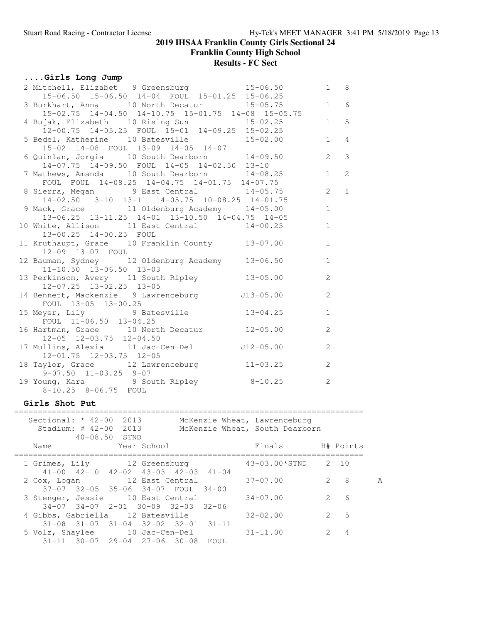**Franklin County High School**

# **Results - FC Sect**

# **....Girls Long Jump**

| 2 Mitchell, Elizabet 9 Greensburg 15-06.50                                                 |             | $1 \quad 8$    |                |
|--------------------------------------------------------------------------------------------|-------------|----------------|----------------|
| $15-06.50$ $15-06.50$ $14-04$ $FOUL$ $15-01.25$ $15-06.25$                                 |             |                |                |
| 3 Burkhart, Anna 10 North Decatur 15-05.75 1 6                                             |             |                |                |
| 15-02.75 14-04.50 14-10.75 15-01.75 14-08 15-05.75                                         |             |                |                |
| 4 Bujak, Elizabeth 10 Rising Sun 15-02.25                                                  | $1 \quad 5$ |                |                |
| 12-00.75 14-05.25 FOUL 15-01 14-09.25 15-02.25                                             |             |                |                |
| 5 Bedel, Katherine 10 Batesville 15-02.00 1                                                |             |                | $\overline{4}$ |
| 15-02 14-08 FOUL 13-09 14-05 14-07                                                         |             |                |                |
| 6 Quinlan, Jorgia 10 South Dearborn 14-09.50                                               |             | $\overline{2}$ | 3              |
| $14-07.75$ $14-09.50$ FOUL $14-05$ $14-02.50$ $13-10$                                      |             |                |                |
| 7 Mathews, Amanda 10 South Dearborn 14-08.25                                               |             | 1              | $\overline{2}$ |
| FOUL FOUL 14-08.25 14-04.75 14-01.75 14-07.75                                              |             |                |                |
| 8 Sierra, Megan 9 East Central 14-05.75<br>14-02.50 13-10 13-11 14-05.75 10-08.25 14-01.75 |             | $\overline{2}$ | $\mathbf{1}$   |
|                                                                                            |             |                |                |
| 9 Mack, Grace 11 Oldenburg Academy 14-05.00                                                |             | $\mathbf{1}$   |                |
| 13-06.25 13-11.25 14-01 13-10.50 14-04.75 14-05                                            |             |                |                |
| 10 White, Allison 11 East Central 14-00.25                                                 |             | $\mathbf{1}$   |                |
| 13-00.25 14-00.25 FOUL                                                                     |             |                |                |
| 11 Kruthaupt, Grace 10 Franklin County 13-07.00                                            |             | $\mathbf{1}$   |                |
| 12-09 13-07 FOUL                                                                           |             |                |                |
| 12 Bauman, Sydney 12 Oldenburg Academy 13-06.50                                            |             | $\mathbf{1}$   |                |
| $11-10.50$ $13-06.50$ $13-03$                                                              |             |                |                |
| 13 Perkinson, Avery 11 South Ripley 13-05.00                                               |             | 2              |                |
| $12-07.25$ $13-02.25$ $13-05$                                                              |             |                |                |
| 14 Bennett, Mackenzie 9 Lawrenceburg 513-05.00                                             |             | 2              |                |
| FOUL 13-05 13-00.25                                                                        |             |                |                |
| 15 Meyer, Lily 9 Batesville 13-04.25                                                       |             | $\mathbf{1}$   |                |
| FOUL 11-06.50 13-04.25                                                                     |             |                |                |
| 16 Hartman, Grace 10 North Decatur 12-05.00                                                |             | 2              |                |
| $12-05$ $12-03.75$ $12-04.50$                                                              |             |                |                |
| 17 Mullins, Alexia 11 Jac-Cen-Del J12-05.00                                                |             | 2              |                |
| $12 - 01.75$ $12 - 03.75$ $12 - 05$                                                        |             |                |                |
| 18 Taylor, Grace 12 Lawrenceburg 11-03.25                                                  |             | 2              |                |
| $9-07.50$ $11-03.25$ $9-07$                                                                |             |                |                |
| 19 Young, Kara 9 South Ripley 8-10.25<br>8-10.25 8-06.75 FOUL                              |             | 2              |                |
|                                                                                            |             |                |                |

## **Girls Shot Put**

|  | Sectional: $*$ 42-00<br>Stadium: # 42-00 2013                                       | 2013<br>$40 - 08.50$ STND |             |           | McKenzie Wheat, Lawrenceburg<br>McKenzie Wheat, South Dearborn |                |                               |   |
|--|-------------------------------------------------------------------------------------|---------------------------|-------------|-----------|----------------------------------------------------------------|----------------|-------------------------------|---|
|  | Name                                                                                |                           | Year School |           | Finals                                                         |                | H# Points                     |   |
|  | 1 Grimes, Lily 12 Greensburg<br>$41-00$ $42-10$ $42-02$ $43-03$ $42-03$ $41-04$     |                           |             |           | $43-03.00*STND$ 2 10                                           |                |                               |   |
|  | 2 Cox, Logan 12 East Central<br>37-07 32-05 35-06 34-07 FOUL                        |                           |             | $34 - 00$ | $37 - 07.00$                                                   | $\overline{2}$ | - 8                           | A |
|  | 3 Stenger, Jessie 10 East Central<br>$34-07$ $34-07$ $2-01$ $30-09$ $32-03$ $32-06$ |                           |             |           | $34 - 07.00$                                                   | $\overline{2}$ | 6                             |   |
|  | 4 Gibbs, Gabriella 12 Batesville<br>$31-08$ $31-07$ $31-04$ $32-02$ $32-01$ $31-11$ |                           |             |           | $32 - 02.00$                                                   |                | $\overline{5}$<br>$2^{\circ}$ |   |
|  | 5 Volz, Shaylee 10 Jac-Cen-Del<br>$31-11$ $30-07$ $29-04$ $27-06$ $30-08$ FOUL      |                           |             |           | $31 - 11.00$                                                   | $\mathcal{L}$  | 4                             |   |
|  |                                                                                     |                           |             |           |                                                                |                |                               |   |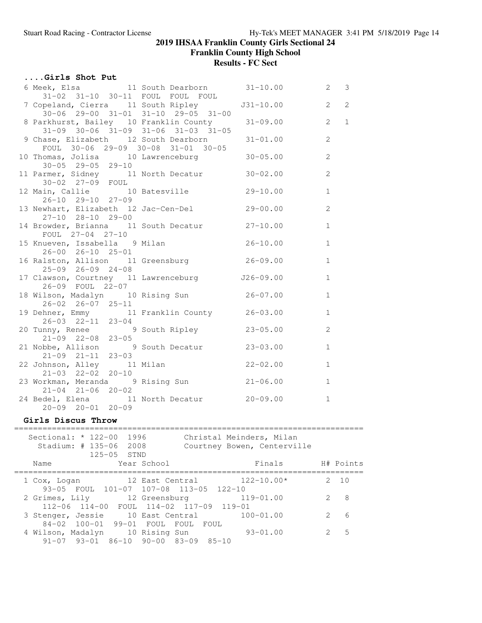**Franklin County High School**

# **Results - FC Sect**

| Girls Shot Put                |                                                                                           |              |                     |
|-------------------------------|-------------------------------------------------------------------------------------------|--------------|---------------------|
|                               | 6 Meek, Elsa (a) 11 South Dearborn (31-10.00 (a) 2 3<br>31-02 31-10 30-11 FOUL FOUL FOUL  |              |                     |
|                               | 7 Copeland, Cierra 11 South Ripley 531-10.00<br>$30-06$ 29-00 31-01 31-10 29-05 31-00     |              | $\overline{2}$<br>2 |
|                               | 8 Parkhurst, Bailey 10 Franklin County<br>$31-09$ $30-06$ $31-09$ $31-06$ $31-03$ $31-05$ | $31 - 09.00$ | $\mathbf{2}$<br>1   |
|                               | 9 Chase, Elizabeth 12 South Dearborn 31-01.00<br>FOUL 30-06 29-09 30-08 31-01 30-05       |              | $\overline{2}$      |
| $30 - 05$ 29-05 29-10         | 10 Thomas, Jolisa 10 Lawrenceburg 30-05.00                                                |              | 2                   |
| 30-02 27-09 FOUL              | 11 Parmer, Sidney 11 North Decatur 30-02.00                                               |              | 2                   |
| $26 - 10$ $29 - 10$ $27 - 09$ | 12 Main, Callie 10 Batesville 29-10.00                                                    |              | $\mathbf{1}$        |
| $27-10$ $28-10$ $29-00$       | 13 Newhart, Elizabeth 12 Jac-Cen-Del 29-00.00                                             |              | 2                   |
| FOUL 27-04 27-10              | 14 Browder, Brianna 11 South Decatur 27-10.00                                             |              | $\mathbf{1}$        |
| 26-00 26-10 25-01             | 15 Knueven, Issabella 9 Milan                                                             | $26 - 10.00$ | $\mathbf{1}$        |
| $25-09$ $26-09$ $24-08$       | 16 Ralston, Allison 11 Greensburg 26-09.00                                                |              | $\mathbf{1}$        |
| 26-09 FOUL 22-07              | 17 Clawson, Courtney 11 Lawrenceburg 526-09.00                                            |              | $\mathbf{1}$        |
| $26 - 02$ $26 - 07$ $25 - 11$ | 18 Wilson, Madalyn 10 Rising Sun 26-07.00                                                 |              | $\mathbf{1}$        |
|                               | 19 Dehner, Emmy 11 Franklin County 26-03.00                                               |              | $\mathbf{1}$        |
|                               | 26-03 22-11 23-04<br>20 Tunny, Renee 9 South Ripley 23-05.00<br>21-09 22-08 23-05         |              | 2                   |
| $21-09$ $21-11$ $23-03$       | 21 Nobbe, Allison 9 South Decatur 23-03.00                                                |              | $\mathbf{1}$        |
| $21-03$ $22-02$ $20-10$       | 22 Johnson, Alley 11 Milan 22-02.00                                                       |              | $\mathbf{1}$        |
| $21-04$ $21-06$ $20-02$       | 23 Workman, Meranda 9 Rising Sun 21-06.00                                                 |              | $\mathbf{1}$        |
| $20 - 09$ $20 - 01$ $20 - 09$ | 24 Bedel, Elena 11 North Decatur 20-09.00                                                 |              | $\mathbf{1}$        |

## **Girls Discus Throw**

| Sectional: $* 122-00$<br>Stadium: $\#$ 135-06 | 1996<br>2008<br>$125 - 05$ STND                 | Christal Meinders, Milan<br>Courtney Bowen, Centerville                           |                                |           |
|-----------------------------------------------|-------------------------------------------------|-----------------------------------------------------------------------------------|--------------------------------|-----------|
| Name                                          | Year School                                     |                                                                                   | Finals                         | H# Points |
| 1 Cox, Logan                                  | 12 East Central                                 | 93-05 FOUL 101-07 107-08 113-05 122-10                                            | $122 - 10.00*$                 | 10        |
|                                               |                                                 | 2 Grimes, Lily 12 Greensburg 119-01.00<br>112-06 114-00 FOUL 114-02 117-09 119-01 |                                | -8        |
| 3 Stenger, Jessie                             | 10 East Central<br>84-02 100-01 99-01 FOUL FOUL | FOUL                                                                              | $100 - 01.00$<br>$\mathcal{L}$ | 6         |
| 4 Wilson, Madalyn 10 Rising Sun               | $91-07$ $93-01$ $86-10$ $90-00$ $83-09$ $85-10$ |                                                                                   | $93 - 01.00$                   | .5        |